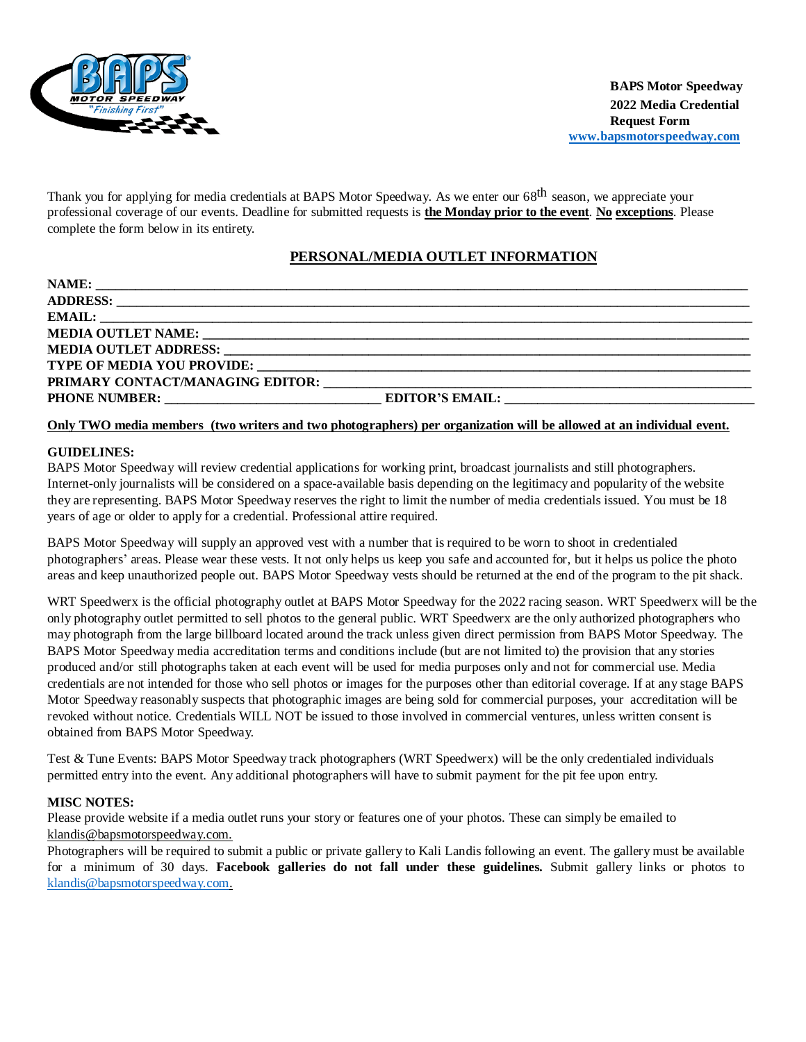

Thank you for applying for media credentials at BAPS Motor Speedway. As we enter our 68<sup>th</sup> season, we appreciate your professional coverage of our events. Deadline for submitted requests is **the Monday prior to the event**. **No exceptions**. Please complete the form below in its entirety.

# **PERSONAL/MEDIA OUTLET INFORMATION**

### Only TWO media members (two writers and two photographers) per organization will be allowed at an individual event.

### **GUIDELINES:**

BAPS Motor Speedway will review credential applications for working print, broadcast journalists and still photographers. Internet-only journalists will be considered on a space-available basis depending on the legitimacy and popularity of the website they are representing. BAPS Motor Speedway reserves the right to limit the number of media credentials issued. You must be 18 years of age or older to apply for a credential. Professional attire required.

BAPS Motor Speedway will supply an approved vest with a number that is required to be worn to shoot in credentialed photographers' areas. Please wear these vests. It not only helps us keep you safe and accounted for, but it helps us police the photo areas and keep unauthorized people out. BAPS Motor Speedway vests should be returned at the end of the program to the pit shack.

WRT Speedwerx is the official photography outlet at BAPS Motor Speedway for the 2022 racing season. WRT Speedwerx will be the only photography outlet permitted to sell photos to the general public. WRT Speedwerx are the only authorized photographers who may photograph from the large billboard located around the track unless given direct permission from BAPS Motor Speedway. The BAPS Motor Speedway media accreditation terms and conditions include (but are not limited to) the provision that any stories produced and/or still photographs taken at each event will be used for media purposes only and not for commercial use. Media credentials are not intended for those who sell photos or images for the purposes other than editorial coverage. If at any stage BAPS Motor Speedway reasonably suspects that photographic images are being sold for commercial purposes, your accreditation will be revoked without notice. Credentials WILL NOT be issued to those involved in commercial ventures, unless written consent is obtained from BAPS Motor Speedway.

Test & Tune Events: BAPS Motor Speedway track photographers (WRT Speedwerx) will be the only credentialed individuals permitted entry into the event. Any additional photographers will have to submit payment for the pit fee upon entry.

#### **MISC NOTES:**

Please provide website if a media outlet runs your story or features one of your photos. These can simply be emailed to [klandis@bapsmotorspeedway.com.](mailto:klandis@bapsmotorspeedway.com)

Photographers will be required to submit a public or private gallery to Kali Landis following an event. The gallery must be available for a minimum of 30 days. **Facebook galleries do not fall under these guidelines.** Submit gallery links or photos to [klandis@bapsmotorspeedway.com.](mailto:klandis@bapsmotorspeedway.com)